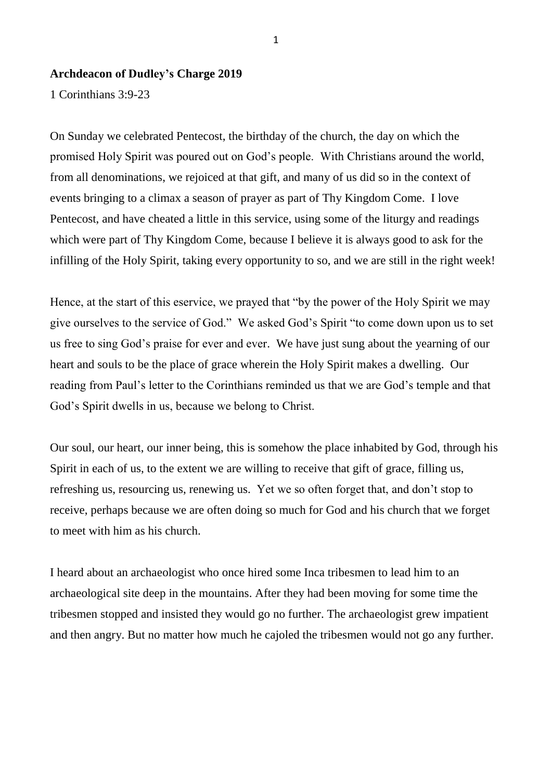## **Archdeacon of Dudley's Charge 2019**

1 Corinthians 3:9-23

On Sunday we celebrated Pentecost, the birthday of the church, the day on which the promised Holy Spirit was poured out on God's people. With Christians around the world, from all denominations, we rejoiced at that gift, and many of us did so in the context of events bringing to a climax a season of prayer as part of Thy Kingdom Come. I love Pentecost, and have cheated a little in this service, using some of the liturgy and readings which were part of Thy Kingdom Come, because I believe it is always good to ask for the infilling of the Holy Spirit, taking every opportunity to so, and we are still in the right week!

Hence, at the start of this eservice, we prayed that "by the power of the Holy Spirit we may give ourselves to the service of God." We asked God's Spirit "to come down upon us to set us free to sing God's praise for ever and ever. We have just sung about the yearning of our heart and souls to be the place of grace wherein the Holy Spirit makes a dwelling. Our reading from Paul's letter to the Corinthians reminded us that we are God's temple and that God's Spirit dwells in us, because we belong to Christ.

Our soul, our heart, our inner being, this is somehow the place inhabited by God, through his Spirit in each of us, to the extent we are willing to receive that gift of grace, filling us, refreshing us, resourcing us, renewing us. Yet we so often forget that, and don't stop to receive, perhaps because we are often doing so much for God and his church that we forget to meet with him as his church.

I heard about an archaeologist who once hired some Inca tribesmen to lead him to an archaeological site deep in the mountains. After they had been moving for some time the tribesmen stopped and insisted they would go no further. The archaeologist grew impatient and then angry. But no matter how much he cajoled the tribesmen would not go any further.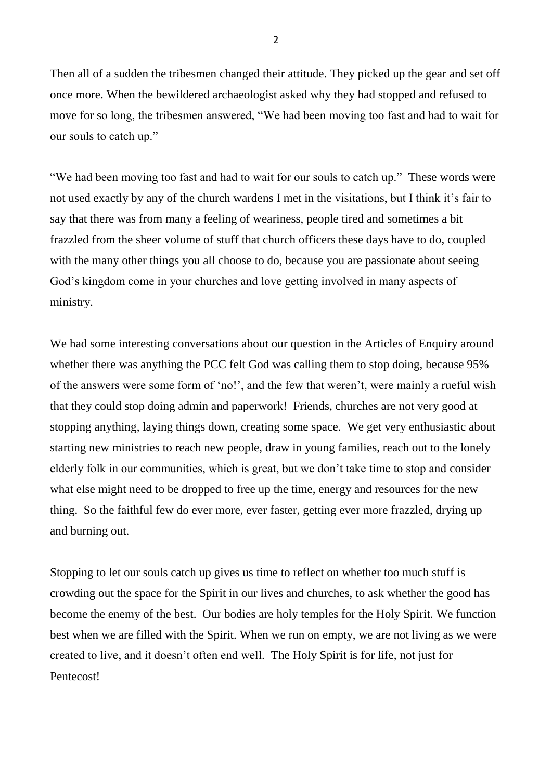Then all of a sudden the tribesmen changed their attitude. They picked up the gear and set off once more. When the bewildered archaeologist asked why they had stopped and refused to move for so long, the tribesmen answered, "We had been moving too fast and had to wait for our souls to catch up."

"We had been moving too fast and had to wait for our souls to catch up." These words were not used exactly by any of the church wardens I met in the visitations, but I think it's fair to say that there was from many a feeling of weariness, people tired and sometimes a bit frazzled from the sheer volume of stuff that church officers these days have to do, coupled with the many other things you all choose to do, because you are passionate about seeing God's kingdom come in your churches and love getting involved in many aspects of ministry.

We had some interesting conversations about our question in the Articles of Enquiry around whether there was anything the PCC felt God was calling them to stop doing, because 95% of the answers were some form of 'no!', and the few that weren't, were mainly a rueful wish that they could stop doing admin and paperwork! Friends, churches are not very good at stopping anything, laying things down, creating some space. We get very enthusiastic about starting new ministries to reach new people, draw in young families, reach out to the lonely elderly folk in our communities, which is great, but we don't take time to stop and consider what else might need to be dropped to free up the time, energy and resources for the new thing. So the faithful few do ever more, ever faster, getting ever more frazzled, drying up and burning out.

Stopping to let our souls catch up gives us time to reflect on whether too much stuff is crowding out the space for the Spirit in our lives and churches, to ask whether the good has become the enemy of the best. Our bodies are holy temples for the Holy Spirit. We function best when we are filled with the Spirit. When we run on empty, we are not living as we were created to live, and it doesn't often end well. The Holy Spirit is for life, not just for Pentecost!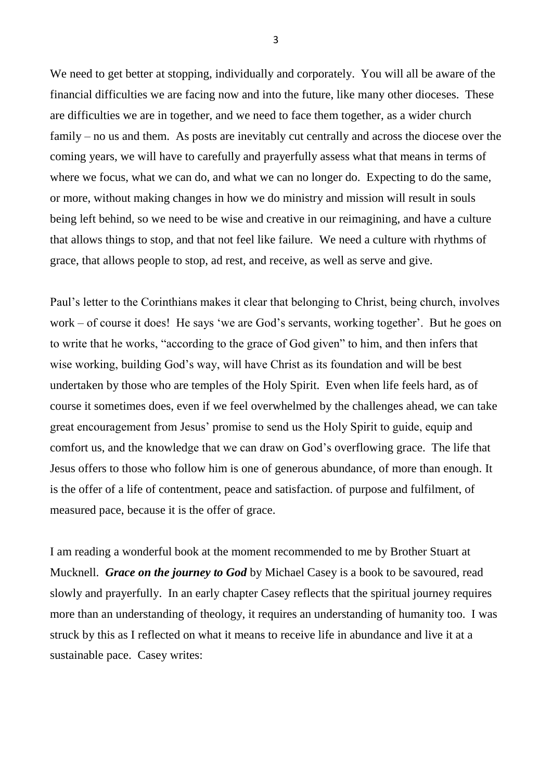We need to get better at stopping, individually and corporately. You will all be aware of the financial difficulties we are facing now and into the future, like many other dioceses. These are difficulties we are in together, and we need to face them together, as a wider church family – no us and them. As posts are inevitably cut centrally and across the diocese over the coming years, we will have to carefully and prayerfully assess what that means in terms of where we focus, what we can do, and what we can no longer do. Expecting to do the same, or more, without making changes in how we do ministry and mission will result in souls being left behind, so we need to be wise and creative in our reimagining, and have a culture that allows things to stop, and that not feel like failure. We need a culture with rhythms of grace, that allows people to stop, ad rest, and receive, as well as serve and give.

Paul's letter to the Corinthians makes it clear that belonging to Christ, being church, involves work – of course it does! He says 'we are God's servants, working together'. But he goes on to write that he works, "according to the grace of God given" to him, and then infers that wise working, building God's way, will have Christ as its foundation and will be best undertaken by those who are temples of the Holy Spirit. Even when life feels hard, as of course it sometimes does, even if we feel overwhelmed by the challenges ahead, we can take great encouragement from Jesus' promise to send us the Holy Spirit to guide, equip and comfort us, and the knowledge that we can draw on God's overflowing grace. The life that Jesus offers to those who follow him is one of generous abundance, of more than enough. It is the offer of a life of contentment, peace and satisfaction. of purpose and fulfilment, of measured pace, because it is the offer of grace.

I am reading a wonderful book at the moment recommended to me by Brother Stuart at Mucknell. *Grace on the journey to God* by Michael Casey is a book to be savoured, read slowly and prayerfully. In an early chapter Casey reflects that the spiritual journey requires more than an understanding of theology, it requires an understanding of humanity too. I was struck by this as I reflected on what it means to receive life in abundance and live it at a sustainable pace. Casey writes: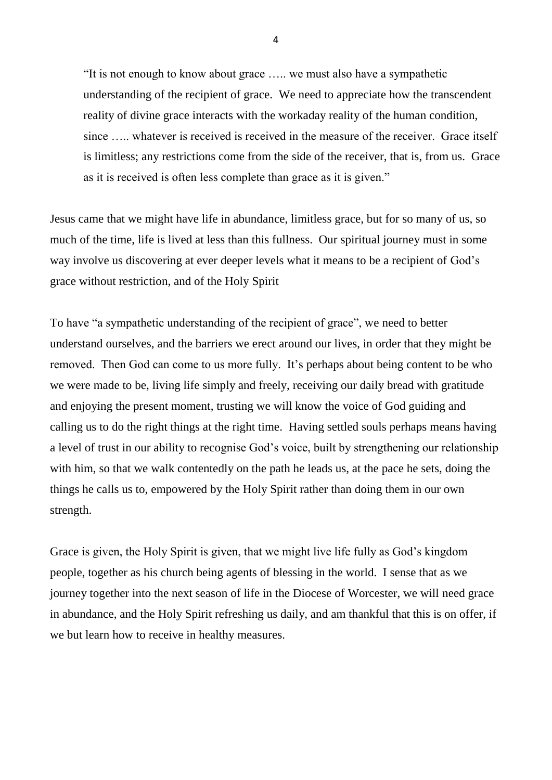"It is not enough to know about grace ….. we must also have a sympathetic understanding of the recipient of grace. We need to appreciate how the transcendent reality of divine grace interacts with the workaday reality of the human condition, since ….. whatever is received is received in the measure of the receiver. Grace itself is limitless; any restrictions come from the side of the receiver, that is, from us. Grace as it is received is often less complete than grace as it is given."

Jesus came that we might have life in abundance, limitless grace, but for so many of us, so much of the time, life is lived at less than this fullness. Our spiritual journey must in some way involve us discovering at ever deeper levels what it means to be a recipient of God's grace without restriction, and of the Holy Spirit

To have "a sympathetic understanding of the recipient of grace", we need to better understand ourselves, and the barriers we erect around our lives, in order that they might be removed. Then God can come to us more fully. It's perhaps about being content to be who we were made to be, living life simply and freely, receiving our daily bread with gratitude and enjoying the present moment, trusting we will know the voice of God guiding and calling us to do the right things at the right time. Having settled souls perhaps means having a level of trust in our ability to recognise God's voice, built by strengthening our relationship with him, so that we walk contentedly on the path he leads us, at the pace he sets, doing the things he calls us to, empowered by the Holy Spirit rather than doing them in our own strength.

Grace is given, the Holy Spirit is given, that we might live life fully as God's kingdom people, together as his church being agents of blessing in the world. I sense that as we journey together into the next season of life in the Diocese of Worcester, we will need grace in abundance, and the Holy Spirit refreshing us daily, and am thankful that this is on offer, if we but learn how to receive in healthy measures.